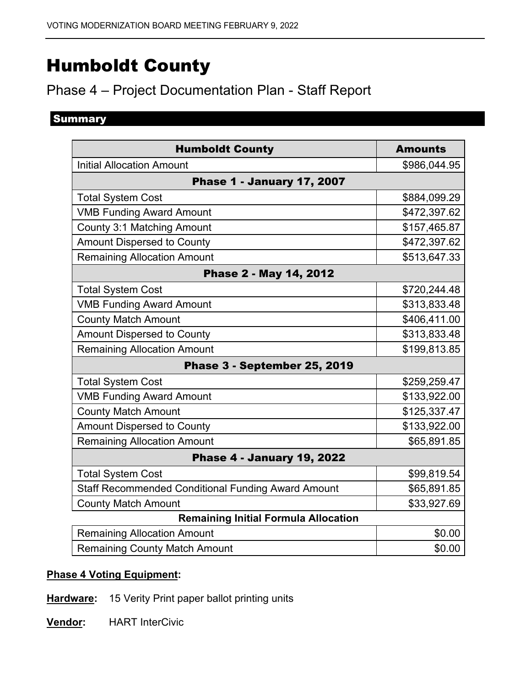# Humboldt County

# Phase 4 – Project Documentation Plan - Staff Report

# **Summary**

| <b>Humboldt County</b>                                    | <b>Amounts</b> |
|-----------------------------------------------------------|----------------|
| <b>Initial Allocation Amount</b>                          | \$986,044.95   |
| <b>Phase 1 - January 17, 2007</b>                         |                |
| <b>Total System Cost</b>                                  | \$884,099.29   |
| <b>VMB Funding Award Amount</b>                           | \$472,397.62   |
| <b>County 3:1 Matching Amount</b>                         | \$157,465.87   |
| <b>Amount Dispersed to County</b>                         | \$472,397.62   |
| <b>Remaining Allocation Amount</b>                        | \$513,647.33   |
| Phase 2 - May 14, 2012                                    |                |
| <b>Total System Cost</b>                                  | \$720,244.48   |
| <b>VMB Funding Award Amount</b>                           | \$313,833.48   |
| <b>County Match Amount</b>                                | \$406,411.00   |
| <b>Amount Dispersed to County</b>                         | \$313,833.48   |
| <b>Remaining Allocation Amount</b>                        | \$199,813.85   |
| Phase 3 - September 25, 2019                              |                |
| <b>Total System Cost</b>                                  | \$259,259.47   |
| <b>VMB Funding Award Amount</b>                           | \$133,922.00   |
| <b>County Match Amount</b>                                | \$125,337.47   |
| <b>Amount Dispersed to County</b>                         | \$133,922.00   |
| <b>Remaining Allocation Amount</b>                        | \$65,891.85    |
| <b>Phase 4 - January 19, 2022</b>                         |                |
| <b>Total System Cost</b>                                  | \$99,819.54    |
| <b>Staff Recommended Conditional Funding Award Amount</b> | \$65,891.85    |
| <b>County Match Amount</b>                                | \$33,927.69    |
| <b>Remaining Initial Formula Allocation</b>               |                |
| <b>Remaining Allocation Amount</b>                        | \$0.00         |
| <b>Remaining County Match Amount</b>                      | \$0.00         |

# **Phase 4 Voting Equipment:**

**Hardware:** 15 Verity Print paper ballot printing units

**Vendor:** HART InterCivic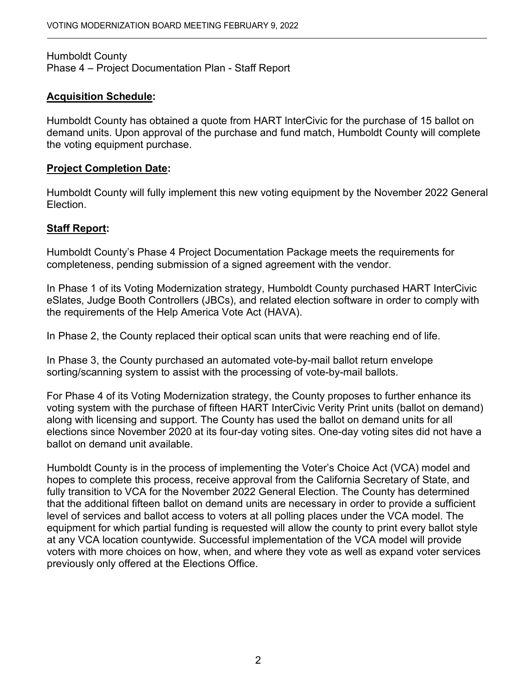Humboldt County Phase 4 – Project Documentation Plan - Staff Report

#### **Acquisition Schedule:**

Humboldt County has obtained a quote from HART lnterCivic for the purchase of 15 ballot on demand units. Upon approval of the purchase and fund match, Humboldt County will complete the voting equipment purchase.

#### **Project Completion Date:**

Humboldt County will fully implement this new voting equipment by the November 2022 General Election.

### **Staff Report:**

Humboldt County's Phase 4 Project Documentation Package meets the requirements for completeness, pending submission of a signed agreement with the vendor.

In Phase 1 of its Voting Modernization strategy, Humboldt County purchased HART InterCivic eSlates, Judge Booth Controllers (JBCs), and related election software in order to comply with the requirements of the Help America Vote Act (HAVA).

In Phase 2, the County replaced their optical scan units that were reaching end of life.

In Phase 3, the County purchased an automated vote-by-mail ballot return envelope sorting/scanning system to assist with the processing of vote-by-mail ballots.

 along with licensing and support. The County has used the ballot on demand units for all For Phase 4 of its Voting Modernization strategy, the County proposes to further enhance its voting system with the purchase of fifteen HART InterCivic Verity Print units (ballot on demand) elections since November 2020 at its four-day voting sites. One-day voting sites did not have a ballot on demand unit available.

 Humboldt County is in the process of implementing the Voter's Choice Act (VCA) model and fully transition to VCA for the November 2022 General Election. The County has determined level of services and ballot access to voters at all polling places under the VCA model. The hopes to complete this process, receive approval from the California Secretary of State, and that the additional fifteen ballot on demand units are necessary in order to provide a sufficient equipment for which partial funding is requested will allow the county to print every ballot style at any VCA location countywide. Successful implementation of the VCA model will provide voters with more choices on how, when, and where they vote as well as expand voter services previously only offered at the Elections Office.